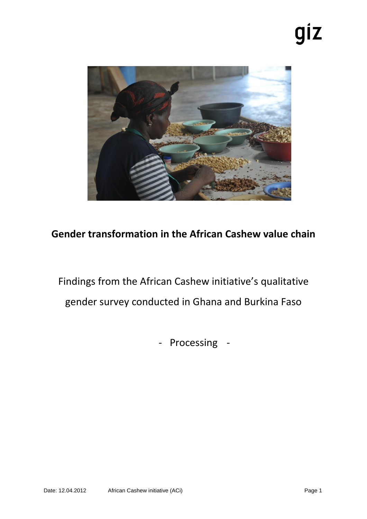# giz



# **Gender transformation in the African Cashew value chain**

Findings from the African Cashew initiative's qualitative gender survey conducted in Ghana and Burkina Faso

- Processing -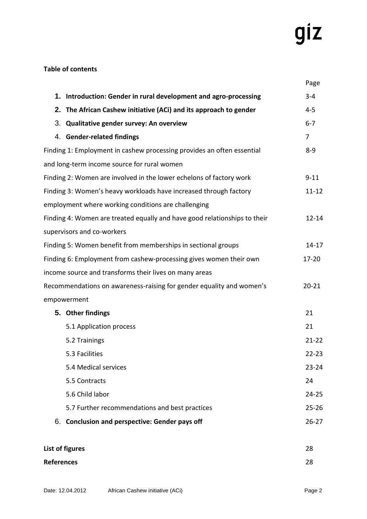# giz

# **Table of contents**

|                                                                           |                                                                   | Page           |
|---------------------------------------------------------------------------|-------------------------------------------------------------------|----------------|
|                                                                           | 1. Introduction: Gender in rural development and agro-processing  | $3 - 4$        |
|                                                                           | 2. The African Cashew initiative (ACi) and its approach to gender | $4 - 5$        |
|                                                                           | 3. Qualitative gender survey: An overview                         | $6 - 7$        |
|                                                                           | 4. Gender-related findings                                        | $\overline{7}$ |
| Finding 1: Employment in cashew processing provides an often essential    |                                                                   | $8 - 9$        |
|                                                                           | and long-term income source for rural women                       |                |
| Finding 2: Women are involved in the lower echelons of factory work       |                                                                   |                |
| Finding 3: Women's heavy workloads have increased through factory         |                                                                   |                |
|                                                                           | employment where working conditions are challenging               |                |
| Finding 4: Women are treated equally and have good relationships to their |                                                                   |                |
|                                                                           | supervisors and co-workers                                        |                |
| Finding 5: Women benefit from memberships in sectional groups             |                                                                   |                |
| Finding 6: Employment from cashew-processing gives women their own        |                                                                   |                |
|                                                                           | income source and transforms their lives on many areas            |                |
| Recommendations on awareness-raising for gender equality and women's      |                                                                   | $20 - 21$      |
|                                                                           | empowerment                                                       |                |
|                                                                           | 5. Other findings                                                 | 21             |
|                                                                           | 5.1 Application process                                           | 21             |
|                                                                           | 5.2 Trainings                                                     | $21 - 22$      |
|                                                                           | 5.3 Facilities                                                    | $22 - 23$      |
|                                                                           | 5.4 Medical services                                              | $23 - 24$      |
|                                                                           | 5.5 Contracts                                                     | 24             |
|                                                                           | 5.6 Child labor                                                   | $24 - 25$      |
|                                                                           | 5.7 Further recommendations and best practices                    | $25 - 26$      |
|                                                                           | 6. Conclusion and perspective: Gender pays off                    | $26 - 27$      |
|                                                                           | List of figures                                                   | 28             |

| ызы от пригез     | 20 |
|-------------------|----|
| <b>References</b> | 28 |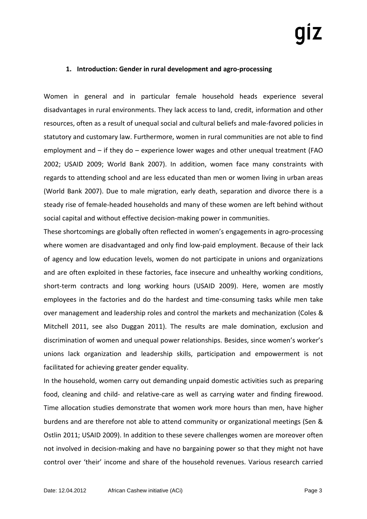# **1. Introduction: Gender in rural development and agro-processing**

Women in general and in particular female household heads experience several disadvantages in rural environments. They lack access to land, credit, information and other resources, often as a result of unequal social and cultural beliefs and male-favored policies in statutory and customary law. Furthermore, women in rural communities are not able to find employment and – if they do – experience lower wages and other unequal treatment (FAO 2002; USAID 2009; World Bank 2007). In addition, women face many constraints with regards to attending school and are less educated than men or women living in urban areas (World Bank 2007). Due to male migration, early death, separation and divorce there is a steady rise of female-headed households and many of these women are left behind without social capital and without effective decision-making power in communities.

These shortcomings are globally often reflected in women's engagements in agro-processing where women are disadvantaged and only find low-paid employment. Because of their lack of agency and low education levels, women do not participate in unions and organizations and are often exploited in these factories, face insecure and unhealthy working conditions, short-term contracts and long working hours (USAID 2009). Here, women are mostly employees in the factories and do the hardest and time-consuming tasks while men take over management and leadership roles and control the markets and mechanization (Coles & Mitchell 2011, see also Duggan 2011). The results are male domination, exclusion and discrimination of women and unequal power relationships. Besides, since women's worker's unions lack organization and leadership skills, participation and empowerment is not facilitated for achieving greater gender equality.

In the household, women carry out demanding unpaid domestic activities such as preparing food, cleaning and child- and relative-care as well as carrying water and finding firewood. Time allocation studies demonstrate that women work more hours than men, have higher burdens and are therefore not able to attend community or organizational meetings (Sen & Ostlin 2011; USAID 2009). In addition to these severe challenges women are moreover often not involved in decision-making and have no bargaining power so that they might not have control over 'their' income and share of the household revenues. Various research carried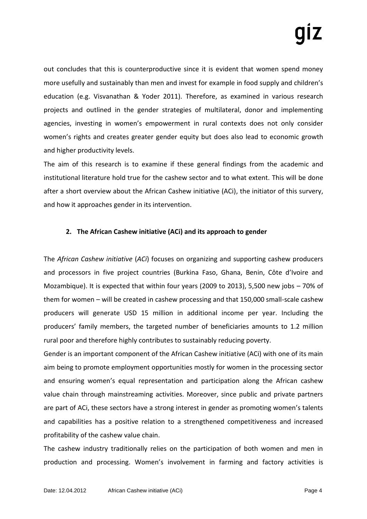out concludes that this is counterproductive since it is evident that women spend money more usefully and sustainably than men and invest for example in food supply and children's education (e.g. Visvanathan & Yoder 2011). Therefore, as examined in various research projects and outlined in the gender strategies of multilateral, donor and implementing agencies, investing in women's empowerment in rural contexts does not only consider women's rights and creates greater gender equity but does also lead to economic growth and higher productivity levels.

The aim of this research is to examine if these general findings from the academic and institutional literature hold true for the cashew sector and to what extent. This will be done after a short overview about the African Cashew initiative (ACi), the initiator of this survery, and how it approaches gender in its intervention.

# **2. The African Cashew initiative (ACi) and its approach to gender**

The *African Cashew initiative* (*ACi*) focuses on organizing and supporting cashew producers and processors in five project countries (Burkina Faso, Ghana, Benin, Côte d'Ivoire and Mozambique). It is expected that within four years (2009 to 2013), 5,500 new jobs – 70% of them for women – will be created in cashew processing and that 150,000 small-scale cashew producers will generate USD 15 million in additional income per year. Including the producers' family members, the targeted number of beneficiaries amounts to 1.2 million rural poor and therefore highly contributes to sustainably reducing poverty.

Gender is an important component of the African Cashew initiative (ACi) with one of its main aim being to promote employment opportunities mostly for women in the processing sector and ensuring women's equal representation and participation along the African cashew value chain through mainstreaming activities. Moreover, since public and private partners are part of ACi, these sectors have a strong interest in gender as promoting women's talents and capabilities has a positive relation to a strengthened competitiveness and increased profitability of the cashew value chain.

The cashew industry traditionally relies on the participation of both women and men in production and processing. Women's involvement in farming and factory activities is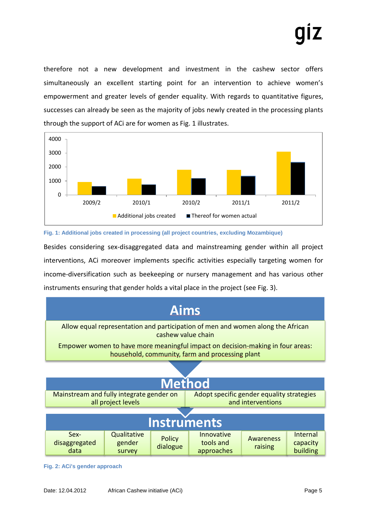therefore not a new development and investment in the cashew sector offers simultaneously an excellent starting point for an intervention to achieve women's empowerment and greater levels of gender equality. With regards to quantitative figures, successes can already be seen as the majority of jobs newly created in the processing plants through the support of ACi are for women as Fig. 1 illustrates.



### **Fig. 1: Additional jobs created in processing (all project countries, excluding Mozambique)**

Besides considering sex-disaggregated data and mainstreaming gender within all project interventions, ACi moreover implements specific activities especially targeting women for income-diversification such as beekeeping or nursery management and has various other instruments ensuring that gender holds a vital place in the project (see Fig. 3).



**Fig. 2: ACi's gender approach**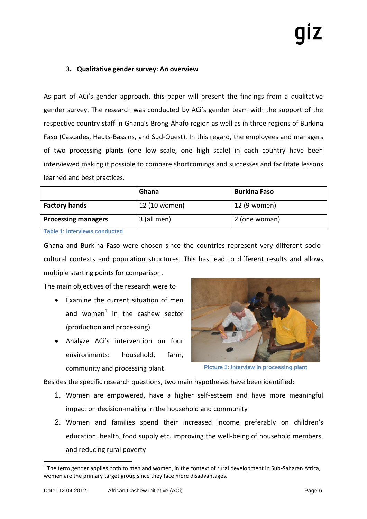# **3. Qualitative gender survey: An overview**

As part of ACi's gender approach, this paper will present the findings from a qualitative gender survey. The research was conducted by ACi's gender team with the support of the respective country staff in Ghana's Brong-Ahafo region as well as in three regions of Burkina Faso (Cascades, Hauts-Bassins, and Sud-Ouest). In this regard, the employees and managers of two processing plants (one low scale, one high scale) in each country have been interviewed making it possible to compare shortcomings and successes and facilitate lessons learned and best practices.

|                            | Ghana         | <b>Burkina Faso</b> |
|----------------------------|---------------|---------------------|
| <b>Factory hands</b>       | 12 (10 women) | 12 (9 women)        |
| <b>Processing managers</b> | 3 (all men)   | 2 (one woman)       |

**Table 1: Interviews conducted** 

Ghana and Burkina Faso were chosen since the countries represent very different sociocultural contexts and population structures. This has lead to different results and allows multiple starting points for comparison.

The main objectives of the research were to

- Examine the current situation of men and women $<sup>1</sup>$  in the cashew sector</sup> (production and processing)
- Analyze ACi's intervention on four environments: household, farm, community and processing plant



**Picture 1: Interview in processing plant**

Besides the specific research questions, two main hypotheses have been identified:

- 1. Women are empowered, have a higher self-esteem and have more meaningful impact on decision-making in the household and community
- 2. Women and families spend their increased income preferably on children's education, health, food supply etc. improving the well-being of household members, and reducing rural poverty

 $1$  The term gender applies both to men and women, in the context of rural development in Sub-Saharan Africa, women are the primary target group since they face more disadvantages.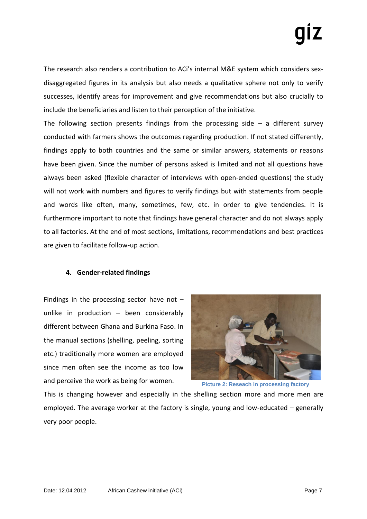The research also renders a contribution to ACi's internal M&E system which considers sexdisaggregated figures in its analysis but also needs a qualitative sphere not only to verify successes, identify areas for improvement and give recommendations but also crucially to include the beneficiaries and listen to their perception of the initiative.

The following section presents findings from the processing side  $-$  a different survey conducted with farmers shows the outcomes regarding production. If not stated differently, findings apply to both countries and the same or similar answers, statements or reasons have been given. Since the number of persons asked is limited and not all questions have always been asked (flexible character of interviews with open-ended questions) the study will not work with numbers and figures to verify findings but with statements from people and words like often, many, sometimes, few, etc. in order to give tendencies. It is furthermore important to note that findings have general character and do not always apply to all factories. At the end of most sections, limitations, recommendations and best practices are given to facilitate follow-up action.

# **4. Gender-related findings**

Findings in the processing sector have not  $$ unlike in production – been considerably different between Ghana and Burkina Faso. In the manual sections (shelling, peeling, sorting etc.) traditionally more women are employed since men often see the income as too low and perceive the work as being for women.



**Picture 2: Reseach in processing factory**

This is changing however and especially in the shelling section more and more men are employed. The average worker at the factory is single, young and low-educated – generally very poor people.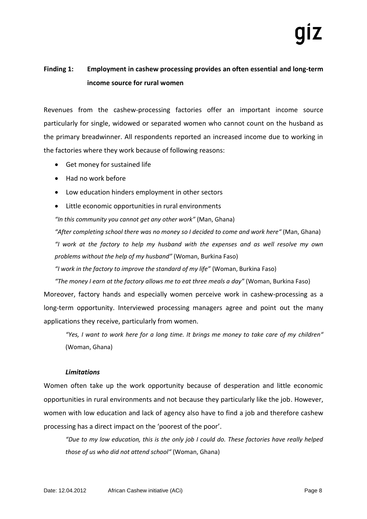# **Finding 1: Employment in cashew processing provides an often essential and long-term income source for rural women**

Revenues from the cashew-processing factories offer an important income source particularly for single, widowed or separated women who cannot count on the husband as the primary breadwinner. All respondents reported an increased income due to working in the factories where they work because of following reasons:

- Get money for sustained life
- Had no work before
- Low education hinders employment in other sectors
- Little economic opportunities in rural environments

*"In this community you cannot get any other work"* (Man, Ghana)

*"After completing school there was no money so I decided to come and work here"* (Man, Ghana) *"I work at the factory to help my husband with the expenses and as well resolve my own problems without the help of my husband"* (Woman, Burkina Faso)

*"I work in the factory to improve the standard of my life"* (Woman, Burkina Faso)

*"The money I earn at the factory allows me to eat three meals a day"* (Woman, Burkina Faso) Moreover, factory hands and especially women perceive work in cashew-processing as a long-term opportunity. Interviewed processing managers agree and point out the many applications they receive, particularly from women.

*"Yes, I want to work here for a long time. It brings me money to take care of my children"* (Woman, Ghana)

# *Limitations*

Women often take up the work opportunity because of desperation and little economic opportunities in rural environments and not because they particularly like the job. However, women with low education and lack of agency also have to find a job and therefore cashew processing has a direct impact on the 'poorest of the poor'.

*"Due to my low education, this is the only job I could do. These factories have really helped those of us who did not attend school"* (Woman, Ghana)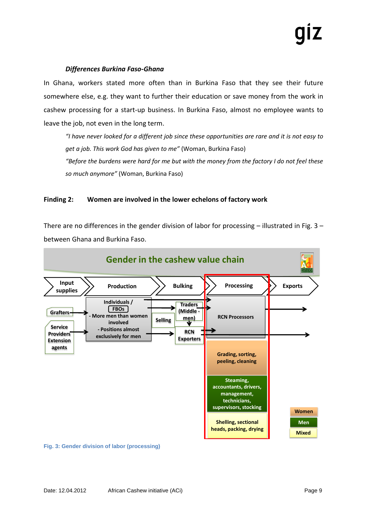### *Differences Burkina Faso-Ghana*

In Ghana, workers stated more often than in Burkina Faso that they see their future somewhere else, e.g. they want to further their education or save money from the work in cashew processing for a start-up business. In Burkina Faso, almost no employee wants to leave the job, not even in the long term.

*"I have never looked for a different job since these opportunities are rare and it is not easy to get a job. This work God has given to me"* (Woman, Burkina Faso) *"Before the burdens were hard for me but with the money from the factory I do not feel these so much anymore"* (Woman, Burkina Faso)

# **Finding 2: Women are involved in the lower echelons of factory work**

There are no differences in the gender division of labor for processing  $-$  illustrated in Fig. 3 – between Ghana and Burkina Faso.



**Fig. 3: Gender division of labor (processing)**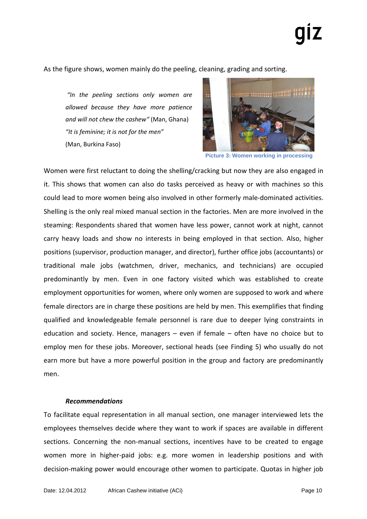As the figure shows, women mainly do the peeling, cleaning, grading and sorting.

*"In the peeling sections only women are allowed because they have more patience and will not chew the cashew"* (Man, Ghana) *"It is feminine; it is not for the men"* (Man, Burkina Faso)



**Picture 3: Women working in processing**

Women were first reluctant to doing the shelling/cracking but now they are also engaged in it. This shows that women can also do tasks perceived as heavy or with machines so this could lead to more women being also involved in other formerly male-dominated activities. Shelling is the only real mixed manual section in the factories. Men are more involved in the steaming: Respondents shared that women have less power, cannot work at night, cannot carry heavy loads and show no interests in being employed in that section. Also, higher positions (supervisor, production manager, and director), further office jobs (accountants) or traditional male jobs (watchmen, driver, mechanics, and technicians) are occupied predominantly by men. Even in one factory visited which was established to create employment opportunities for women, where only women are supposed to work and where female directors are in charge these positions are held by men. This exemplifies that finding qualified and knowledgeable female personnel is rare due to deeper lying constraints in education and society. Hence, managers – even if female – often have no choice but to employ men for these jobs. Moreover, sectional heads (see Finding 5) who usually do not earn more but have a more powerful position in the group and factory are predominantly men.

### *Recommendations*

To facilitate equal representation in all manual section, one manager interviewed lets the employees themselves decide where they want to work if spaces are available in different sections. Concerning the non-manual sections, incentives have to be created to engage women more in higher-paid jobs: e.g. more women in leadership positions and with decision-making power would encourage other women to participate. Quotas in higher job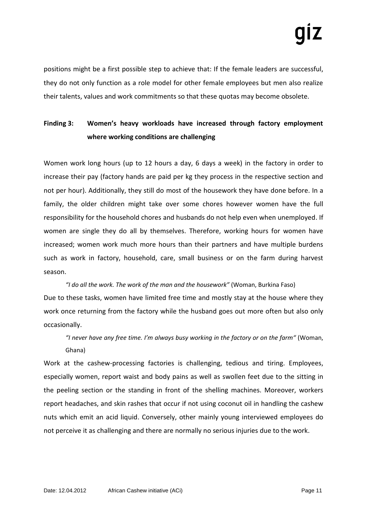positions might be a first possible step to achieve that: If the female leaders are successful, they do not only function as a role model for other female employees but men also realize their talents, values and work commitments so that these quotas may become obsolete.

# **Finding 3: Women's heavy workloads have increased through factory employment where working conditions are challenging**

Women work long hours (up to 12 hours a day, 6 days a week) in the factory in order to increase their pay (factory hands are paid per kg they process in the respective section and not per hour). Additionally, they still do most of the housework they have done before. In a family, the older children might take over some chores however women have the full responsibility for the household chores and husbands do not help even when unemployed. If women are single they do all by themselves. Therefore, working hours for women have increased; women work much more hours than their partners and have multiple burdens such as work in factory, household, care, small business or on the farm during harvest season.

*"I do all the work. The work of the man and the housework"* (Woman, Burkina Faso) Due to these tasks, women have limited free time and mostly stay at the house where they work once returning from the factory while the husband goes out more often but also only occasionally.

*"I never have any free time. I'm always busy working in the factory or on the farm"* (Woman, Ghana)

Work at the cashew-processing factories is challenging, tedious and tiring. Employees, especially women, report waist and body pains as well as swollen feet due to the sitting in the peeling section or the standing in front of the shelling machines. Moreover, workers report headaches, and skin rashes that occur if not using coconut oil in handling the cashew nuts which emit an acid liquid. Conversely, other mainly young interviewed employees do not perceive it as challenging and there are normally no serious injuries due to the work.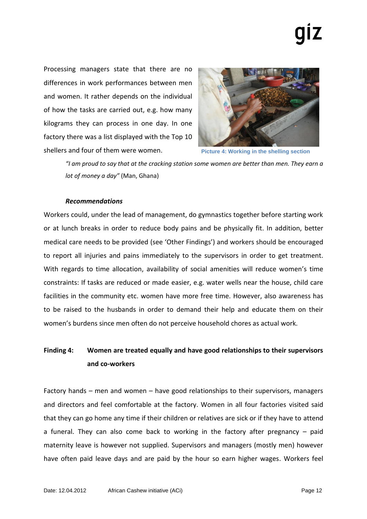Processing managers state that there are no differences in work performances between men and women. It rather depends on the individual of how the tasks are carried out, e.g. how many kilograms they can process in one day. In one factory there was a list displayed with the Top 10 shellers and four of them were women.



**Picture 4: Working in the shelling section**

*"I am proud to say that at the cracking station some women are better than men. They earn a lot of money a day"* (Man, Ghana)

# *Recommendations*

Workers could, under the lead of management, do gymnastics together before starting work or at lunch breaks in order to reduce body pains and be physically fit. In addition, better medical care needs to be provided (see 'Other Findings') and workers should be encouraged to report all injuries and pains immediately to the supervisors in order to get treatment. With regards to time allocation, availability of social amenities will reduce women's time constraints: If tasks are reduced or made easier, e.g. water wells near the house, child care facilities in the community etc. women have more free time. However, also awareness has to be raised to the husbands in order to demand their help and educate them on their women's burdens since men often do not perceive household chores as actual work.

# **Finding 4: Women are treated equally and have good relationships to their supervisors and co-workers**

Factory hands – men and women – have good relationships to their supervisors, managers and directors and feel comfortable at the factory. Women in all four factories visited said that they can go home any time if their children or relatives are sick or if they have to attend a funeral. They can also come back to working in the factory after pregnancy – paid maternity leave is however not supplied. Supervisors and managers (mostly men) however have often paid leave days and are paid by the hour so earn higher wages. Workers feel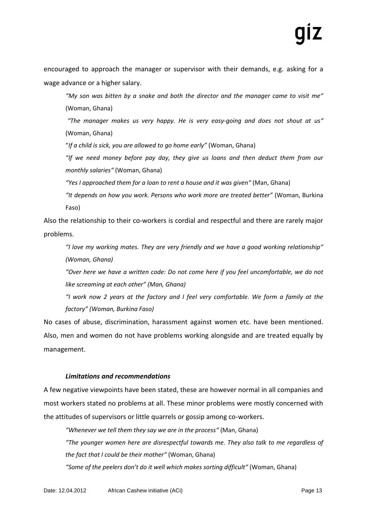encouraged to approach the manager or supervisor with their demands, e.g. asking for a wage advance or a higher salary.

*"My son was bitten by a snake and both the director and the manager came to visit me"* (Woman, Ghana)

*"The manager makes us very happy. He is very easy-going and does not shout at us"* (Woman, Ghana)

"*If a child is sick, you are allowed to go home early"* (Woman, Ghana)

*"If we need money before pay day, they give us loans and then deduct them from our monthly salaries"* (Woman, Ghana)

*"Yes I approached them for a loan to rent a house and it was given"* (Man, Ghana)

*"It depends on how you work. Persons who work more are treated better"* (Woman, Burkina Faso)

Also the relationship to their co-workers is cordial and respectful and there are rarely major problems.

*"I love my working mates. They are very friendly and we have a good working relationship" (Woman, Ghana)*

*"Over here we have a written code: Do not come here if you feel uncomfortable, we do not like screaming at each other" (Man, Ghana)*

*"I work now 2 years at the factory and I feel very comfortable. We form a family at the factory" (Woman, Burkina Faso)*

No cases of abuse, discrimination, harassment against women etc. have been mentioned. Also, men and women do not have problems working alongside and are treated equally by management.

# *Limitations and recommendations*

A few negative viewpoints have been stated, these are however normal in all companies and most workers stated no problems at all. These minor problems were mostly concerned with the attitudes of supervisors or little quarrels or gossip among co-workers.

*"Whenever we tell them they say we are in the process"* (Man, Ghana) *"The younger women here are disrespectful towards me. They also talk to me regardless of the fact that I could be their mother"* (Woman, Ghana) *"Some of the peelers don't do it well which makes sorting difficult"* (Woman, Ghana)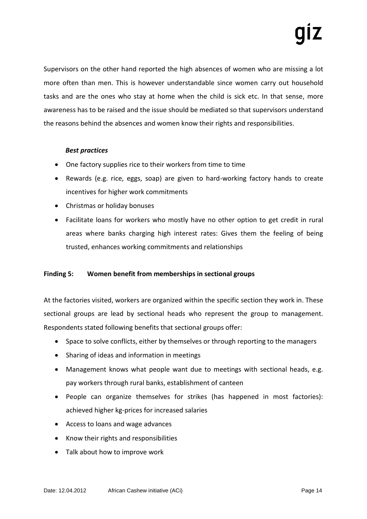Supervisors on the other hand reported the high absences of women who are missing a lot more often than men. This is however understandable since women carry out household tasks and are the ones who stay at home when the child is sick etc. In that sense, more awareness has to be raised and the issue should be mediated so that supervisors understand the reasons behind the absences and women know their rights and responsibilities.

# *Best practices*

- One factory supplies rice to their workers from time to time
- Rewards (e.g. rice, eggs, soap) are given to hard-working factory hands to create incentives for higher work commitments
- Christmas or holiday bonuses
- Facilitate loans for workers who mostly have no other option to get credit in rural areas where banks charging high interest rates: Gives them the feeling of being trusted, enhances working commitments and relationships

# **Finding 5: Women benefit from memberships in sectional groups**

At the factories visited, workers are organized within the specific section they work in. These sectional groups are lead by sectional heads who represent the group to management. Respondents stated following benefits that sectional groups offer:

- Space to solve conflicts, either by themselves or through reporting to the managers
- Sharing of ideas and information in meetings
- Management knows what people want due to meetings with sectional heads, e.g. pay workers through rural banks, establishment of canteen
- People can organize themselves for strikes (has happened in most factories): achieved higher kg-prices for increased salaries
- Access to loans and wage advances
- Know their rights and responsibilities
- Talk about how to improve work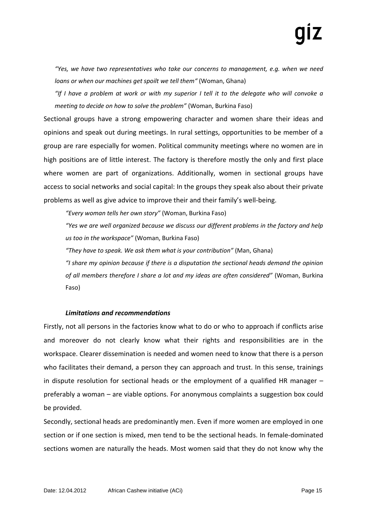*"Yes, we have two representatives who take our concerns to management, e.g. when we need loans or when our machines get spoilt we tell them"* (Woman, Ghana)

*"If I have a problem at work or with my superior I tell it to the delegate who will convoke a meeting to decide on how to solve the problem"* (Woman, Burkina Faso)

Sectional groups have a strong empowering character and women share their ideas and opinions and speak out during meetings. In rural settings, opportunities to be member of a group are rare especially for women. Political community meetings where no women are in high positions are of little interest. The factory is therefore mostly the only and first place where women are part of organizations. Additionally, women in sectional groups have access to social networks and social capital: In the groups they speak also about their private problems as well as give advice to improve their and their family's well-being.

*"Every woman tells her own story"* (Woman, Burkina Faso)

*"Yes we are well organized because we discuss our different problems in the factory and help us too in the workspace"* (Woman, Burkina Faso)

*"They have to speak. We ask them what is your contribution"* (Man, Ghana)

*"I share my opinion because if there is a disputation the sectional heads demand the opinion of all members therefore I share a lot and my ideas are often considered"* (Woman, Burkina Faso)

# *Limitations and recommendations*

Firstly, not all persons in the factories know what to do or who to approach if conflicts arise and moreover do not clearly know what their rights and responsibilities are in the workspace. Clearer dissemination is needed and women need to know that there is a person who facilitates their demand, a person they can approach and trust. In this sense, trainings in dispute resolution for sectional heads or the employment of a qualified HR manager – preferably a woman – are viable options. For anonymous complaints a suggestion box could be provided.

Secondly, sectional heads are predominantly men. Even if more women are employed in one section or if one section is mixed, men tend to be the sectional heads. In female-dominated sections women are naturally the heads. Most women said that they do not know why the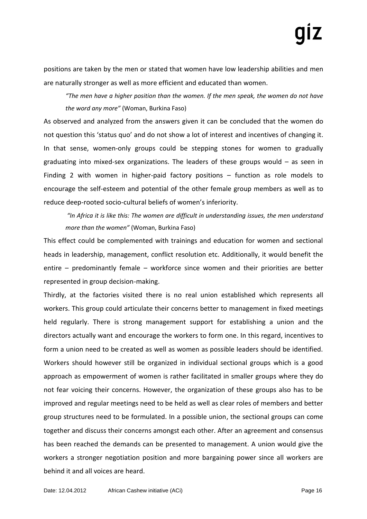positions are taken by the men or stated that women have low leadership abilities and men are naturally stronger as well as more efficient and educated than women.

*"The men have a higher position than the women. If the men speak, the women do not have the word any more"* (Woman, Burkina Faso)

As observed and analyzed from the answers given it can be concluded that the women do not question this 'status quo' and do not show a lot of interest and incentives of changing it. In that sense, women-only groups could be stepping stones for women to gradually graduating into mixed-sex organizations. The leaders of these groups would – as seen in Finding 2 with women in higher-paid factory positions – function as role models to encourage the self-esteem and potential of the other female group members as well as to reduce deep-rooted socio-cultural beliefs of women's inferiority.

*"In Africa it is like this: The women are difficult in understanding issues, the men understand more than the women"* (Woman, Burkina Faso)

This effect could be complemented with trainings and education for women and sectional heads in leadership, management, conflict resolution etc. Additionally, it would benefit the entire – predominantly female – workforce since women and their priorities are better represented in group decision-making.

Thirdly, at the factories visited there is no real union established which represents all workers. This group could articulate their concerns better to management in fixed meetings held regularly. There is strong management support for establishing a union and the directors actually want and encourage the workers to form one. In this regard, incentives to form a union need to be created as well as women as possible leaders should be identified. Workers should however still be organized in individual sectional groups which is a good approach as empowerment of women is rather facilitated in smaller groups where they do not fear voicing their concerns. However, the organization of these groups also has to be improved and regular meetings need to be held as well as clear roles of members and better group structures need to be formulated. In a possible union, the sectional groups can come together and discuss their concerns amongst each other. After an agreement and consensus has been reached the demands can be presented to management. A union would give the workers a stronger negotiation position and more bargaining power since all workers are behind it and all voices are heard.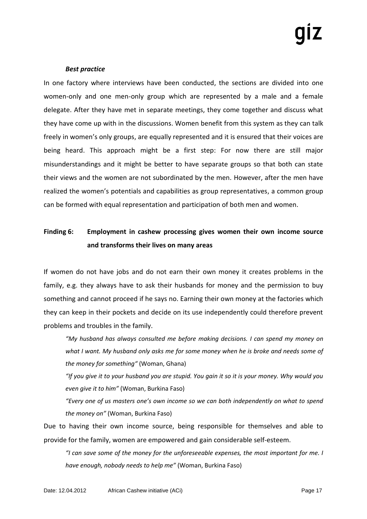# *Best practice*

In one factory where interviews have been conducted, the sections are divided into one women-only and one men-only group which are represented by a male and a female delegate. After they have met in separate meetings, they come together and discuss what they have come up with in the discussions. Women benefit from this system as they can talk freely in women's only groups, are equally represented and it is ensured that their voices are being heard. This approach might be a first step: For now there are still major misunderstandings and it might be better to have separate groups so that both can state their views and the women are not subordinated by the men. However, after the men have realized the women's potentials and capabilities as group representatives, a common group can be formed with equal representation and participation of both men and women.

# **Finding 6: Employment in cashew processing gives women their own income source and transforms their lives on many areas**

If women do not have jobs and do not earn their own money it creates problems in the family, e.g. they always have to ask their husbands for money and the permission to buy something and cannot proceed if he says no. Earning their own money at the factories which they can keep in their pockets and decide on its use independently could therefore prevent problems and troubles in the family.

*"My husband has always consulted me before making decisions. I can spend my money on what I want. My husband only asks me for some money when he is broke and needs some of the money for something"* (Woman, Ghana)

*"If you give it to your husband you are stupid. You gain it so it is your money. Why would you even give it to him"* (Woman, Burkina Faso)

*"Every one of us masters one's own income so we can both independently on what to spend the money on"* (Woman, Burkina Faso)

Due to having their own income source, being responsible for themselves and able to provide for the family, women are empowered and gain considerable self-esteem.

*"I can save some of the money for the unforeseeable expenses, the most important for me. I have enough, nobody needs to help me"* (Woman, Burkina Faso)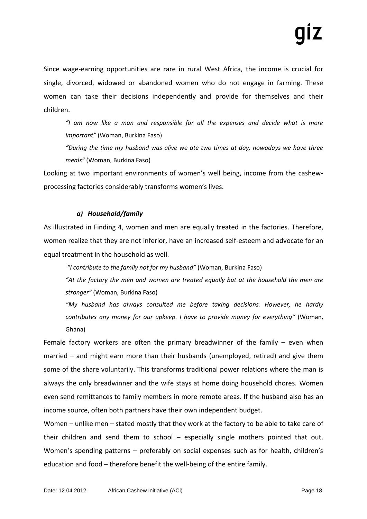Since wage-earning opportunities are rare in rural West Africa, the income is crucial for single, divorced, widowed or abandoned women who do not engage in farming. These women can take their decisions independently and provide for themselves and their children.

*"I am now like a man and responsible for all the expenses and decide what is more important"* (Woman, Burkina Faso)

*"During the time my husband was alive we ate two times at day, nowadays we have three meals"* (Woman, Burkina Faso)

Looking at two important environments of women's well being, income from the cashewprocessing factories considerably transforms women's lives.

# *a) Household/family*

As illustrated in Finding 4, women and men are equally treated in the factories. Therefore, women realize that they are not inferior, have an increased self-esteem and advocate for an equal treatment in the household as well.

*"I contribute to the family not for my husband"* (Woman, Burkina Faso)

*"At the factory the men and women are treated equally but at the household the men are stronger"* (Woman, Burkina Faso)

*"My husband has always consulted me before taking decisions. However, he hardly contributes any money for our upkeep. I have to provide money for everything"* (Woman, Ghana)

Female factory workers are often the primary breadwinner of the family – even when married – and might earn more than their husbands (unemployed, retired) and give them some of the share voluntarily. This transforms traditional power relations where the man is always the only breadwinner and the wife stays at home doing household chores. Women even send remittances to family members in more remote areas. If the husband also has an income source, often both partners have their own independent budget.

Women – unlike men – stated mostly that they work at the factory to be able to take care of their children and send them to school – especially single mothers pointed that out. Women's spending patterns – preferably on social expenses such as for health, children's education and food – therefore benefit the well-being of the entire family.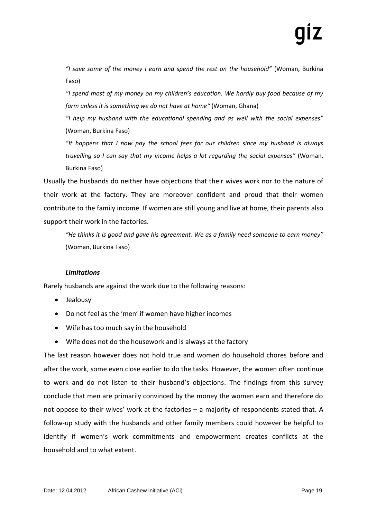*"I save some of the money I earn and spend the rest on the household"* (Woman, Burkina Faso)

*"I spend most of my money on my children's education. We hardly buy food because of my farm unless it is something we do not have at home"* (Woman, Ghana)

*"I help my husband with the educational spending and as well with the social expenses"* (Woman, Burkina Faso)

*"It happens that I now pay the school fees for our children since my husband is always travelling so I can say that my income helps a lot regarding the social expenses"* (Woman, Burkina Faso)

Usually the husbands do neither have objections that their wives work nor to the nature of their work at the factory. They are moreover confident and proud that their women contribute to the family income. If women are still young and live at home, their parents also support their work in the factories.

*"He thinks it is good and gave his agreement. We as a family need someone to earn money"*  (Woman, Burkina Faso)

# *Limitations*

Rarely husbands are against the work due to the following reasons:

- Jealousy
- Do not feel as the 'men' if women have higher incomes
- Wife has too much say in the household
- Wife does not do the housework and is always at the factory

The last reason however does not hold true and women do household chores before and after the work, some even close earlier to do the tasks. However, the women often continue to work and do not listen to their husband's objections. The findings from this survey conclude that men are primarily convinced by the money the women earn and therefore do not oppose to their wives' work at the factories – a majority of respondents stated that. A follow-up study with the husbands and other family members could however be helpful to identify if women's work commitments and empowerment creates conflicts at the household and to what extent.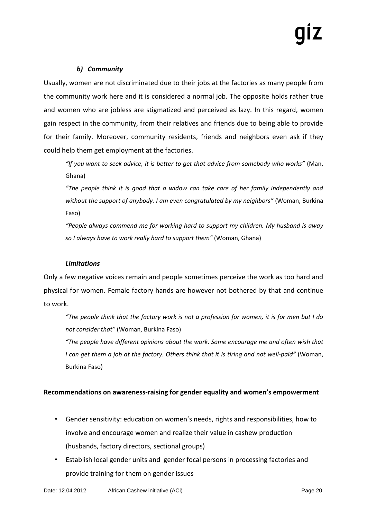# *b) Community*

Usually, women are not discriminated due to their jobs at the factories as many people from the community work here and it is considered a normal job. The opposite holds rather true and women who are jobless are stigmatized and perceived as lazy. In this regard, women gain respect in the community, from their relatives and friends due to being able to provide for their family. Moreover, community residents, friends and neighbors even ask if they could help them get employment at the factories.

*"If you want to seek advice, it is better to get that advice from somebody who works"* (Man, Ghana)

*"The people think it is good that a widow can take care of her family independently and without the support of anybody. I am even congratulated by my neighbors"* (Woman, Burkina Faso)

*"People always commend me for working hard to support my children. My husband is away so I always have to work really hard to support them"* (Woman, Ghana)

# *Limitations*

Only a few negative voices remain and people sometimes perceive the work as too hard and physical for women. Female factory hands are however not bothered by that and continue to work.

*"The people think that the factory work is not a profession for women, it is for men but I do not consider that"* (Woman, Burkina Faso)

*"The people have different opinions about the work. Some encourage me and often wish that I can get them a job at the factory. Others think that it is tiring and not well-paid"* (Woman, Burkina Faso)

# **Recommendations on awareness-raising for gender equality and women's empowerment**

- Gender sensitivity: education on women's needs, rights and responsibilities, how to involve and encourage women and realize their value in cashew production (husbands, factory directors, sectional groups)
- Establish local gender units and gender focal persons in processing factories and provide training for them on gender issues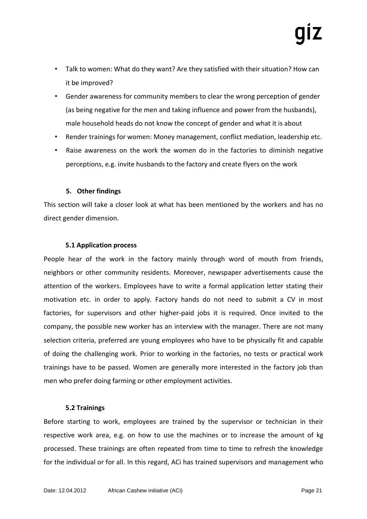- Talk to women: What do they want? Are they satisfied with their situation? How can it be improved?
- Gender awareness for community members to clear the wrong perception of gender (as being negative for the men and taking influence and power from the husbands), male household heads do not know the concept of gender and what it is about
- Render trainings for women: Money management, conflict mediation, leadership etc.
- Raise awareness on the work the women do in the factories to diminish negative perceptions, e.g. invite husbands to the factory and create flyers on the work

# **5. Other findings**

This section will take a closer look at what has been mentioned by the workers and has no direct gender dimension.

# **5.1 Application process**

People hear of the work in the factory mainly through word of mouth from friends, neighbors or other community residents. Moreover, newspaper advertisements cause the attention of the workers. Employees have to write a formal application letter stating their motivation etc. in order to apply. Factory hands do not need to submit a CV in most factories, for supervisors and other higher-paid jobs it is required. Once invited to the company, the possible new worker has an interview with the manager. There are not many selection criteria, preferred are young employees who have to be physically fit and capable of doing the challenging work. Prior to working in the factories, no tests or practical work trainings have to be passed. Women are generally more interested in the factory job than men who prefer doing farming or other employment activities.

# **5.2 Trainings**

Before starting to work, employees are trained by the supervisor or technician in their respective work area, e.g. on how to use the machines or to increase the amount of kg processed. These trainings are often repeated from time to time to refresh the knowledge for the individual or for all. In this regard, ACi has trained supervisors and management who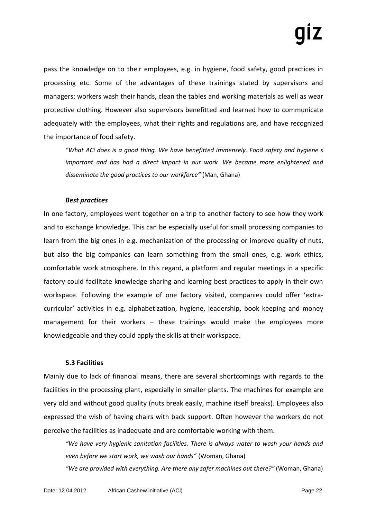pass the knowledge on to their employees, e.g. in hygiene, food safety, good practices in processing etc. Some of the advantages of these trainings stated by supervisors and managers: workers wash their hands, clean the tables and working materials as well as wear protective clothing. However also supervisors benefitted and learned how to communicate adequately with the employees, what their rights and regulations are, and have recognized the importance of food safety.

*"What ACi does is a good thing. We have benefitted immensely. Food safety and hygiene s important and has had a direct impact in our work. We became more enlightened and disseminate the good practices to our workforce"* (Man, Ghana)

# *Best practices*

In one factory, employees went together on a trip to another factory to see how they work and to exchange knowledge. This can be especially useful for small processing companies to learn from the big ones in e.g. mechanization of the processing or improve quality of nuts, but also the big companies can learn something from the small ones, e.g. work ethics, comfortable work atmosphere. In this regard, a platform and regular meetings in a specific factory could facilitate knowledge-sharing and learning best practices to apply in their own workspace. Following the example of one factory visited, companies could offer 'extracurricular' activities in e.g. alphabetization, hygiene, leadership, book keeping and money management for their workers – these trainings would make the employees more knowledgeable and they could apply the skills at their workspace.

# **5.3 Facilities**

Mainly due to lack of financial means, there are several shortcomings with regards to the facilities in the processing plant, especially in smaller plants. The machines for example are very old and without good quality (nuts break easily, machine itself breaks). Employees also expressed the wish of having chairs with back support. Often however the workers do not perceive the facilities as inadequate and are comfortable working with them.

*"We have very hygienic sanitation facilities. There is always water to wash your hands and even before we start work, we wash our hands"* (Woman, Ghana)

*"We are provided with everything. Are there any safer machines out there?"* (Woman, Ghana)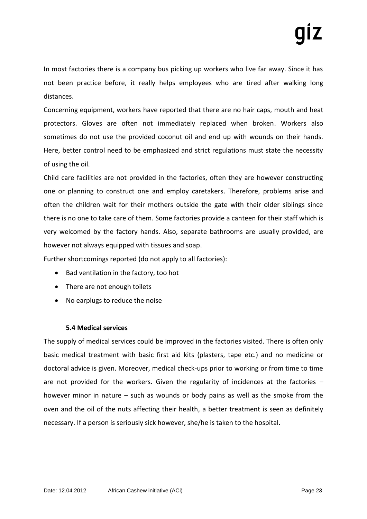In most factories there is a company bus picking up workers who live far away. Since it has not been practice before, it really helps employees who are tired after walking long distances.

Concerning equipment, workers have reported that there are no hair caps, mouth and heat protectors. Gloves are often not immediately replaced when broken. Workers also sometimes do not use the provided coconut oil and end up with wounds on their hands. Here, better control need to be emphasized and strict regulations must state the necessity of using the oil.

Child care facilities are not provided in the factories, often they are however constructing one or planning to construct one and employ caretakers. Therefore, problems arise and often the children wait for their mothers outside the gate with their older siblings since there is no one to take care of them. Some factories provide a canteen for their staff which is very welcomed by the factory hands. Also, separate bathrooms are usually provided, are however not always equipped with tissues and soap.

Further shortcomings reported (do not apply to all factories):

- Bad ventilation in the factory, too hot
- There are not enough toilets
- No earplugs to reduce the noise

# **5.4 Medical services**

The supply of medical services could be improved in the factories visited. There is often only basic medical treatment with basic first aid kits (plasters, tape etc.) and no medicine or doctoral advice is given. Moreover, medical check-ups prior to working or from time to time are not provided for the workers. Given the regularity of incidences at the factories  $$ however minor in nature – such as wounds or body pains as well as the smoke from the oven and the oil of the nuts affecting their health, a better treatment is seen as definitely necessary. If a person is seriously sick however, she/he is taken to the hospital.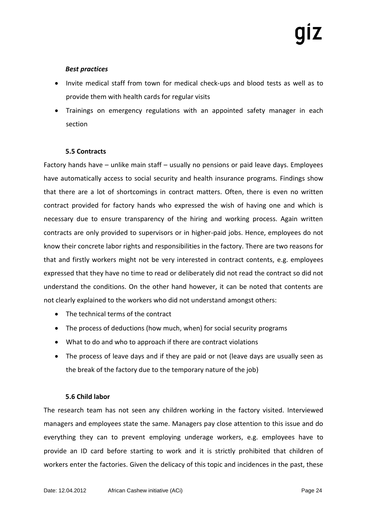# *Best practices*

- Invite medical staff from town for medical check-ups and blood tests as well as to provide them with health cards for regular visits
- Trainings on emergency regulations with an appointed safety manager in each section

# **5.5 Contracts**

Factory hands have – unlike main staff – usually no pensions or paid leave days. Employees have automatically access to social security and health insurance programs. Findings show that there are a lot of shortcomings in contract matters. Often, there is even no written contract provided for factory hands who expressed the wish of having one and which is necessary due to ensure transparency of the hiring and working process. Again written contracts are only provided to supervisors or in higher-paid jobs. Hence, employees do not know their concrete labor rights and responsibilities in the factory. There are two reasons for that and firstly workers might not be very interested in contract contents, e.g. employees expressed that they have no time to read or deliberately did not read the contract so did not understand the conditions. On the other hand however, it can be noted that contents are not clearly explained to the workers who did not understand amongst others:

- The technical terms of the contract
- The process of deductions (how much, when) for social security programs
- What to do and who to approach if there are contract violations
- The process of leave days and if they are paid or not (leave days are usually seen as the break of the factory due to the temporary nature of the job)

# **5.6 Child labor**

The research team has not seen any children working in the factory visited. Interviewed managers and employees state the same. Managers pay close attention to this issue and do everything they can to prevent employing underage workers, e.g. employees have to provide an ID card before starting to work and it is strictly prohibited that children of workers enter the factories. Given the delicacy of this topic and incidences in the past, these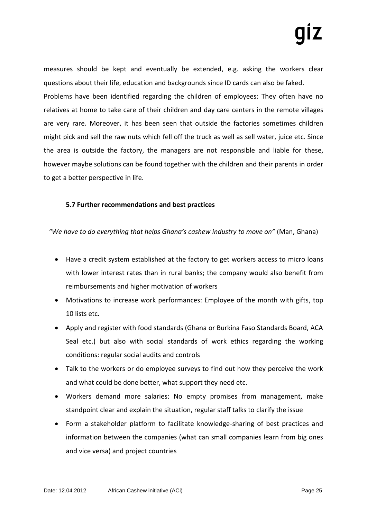measures should be kept and eventually be extended, e.g. asking the workers clear questions about their life, education and backgrounds since ID cards can also be faked. Problems have been identified regarding the children of employees: They often have no relatives at home to take care of their children and day care centers in the remote villages are very rare. Moreover, it has been seen that outside the factories sometimes children might pick and sell the raw nuts which fell off the truck as well as sell water, juice etc. Since the area is outside the factory, the managers are not responsible and liable for these, however maybe solutions can be found together with the children and their parents in order to get a better perspective in life.

# **5.7 Further recommendations and best practices**

*"We have to do everything that helps Ghana's cashew industry to move on"* (Man, Ghana)

- Have a credit system established at the factory to get workers access to micro loans with lower interest rates than in rural banks; the company would also benefit from reimbursements and higher motivation of workers
- Motivations to increase work performances: Employee of the month with gifts, top 10 lists etc.
- Apply and register with food standards (Ghana or Burkina Faso Standards Board, ACA Seal etc.) but also with social standards of work ethics regarding the working conditions: regular social audits and controls
- Talk to the workers or do employee surveys to find out how they perceive the work and what could be done better, what support they need etc.
- Workers demand more salaries: No empty promises from management, make standpoint clear and explain the situation, regular staff talks to clarify the issue
- Form a stakeholder platform to facilitate knowledge-sharing of best practices and information between the companies (what can small companies learn from big ones and vice versa) and project countries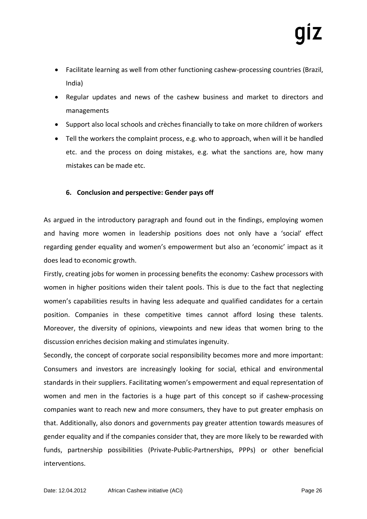- Facilitate learning as well from other functioning cashew-processing countries (Brazil, India)
- Regular updates and news of the cashew business and market to directors and managements
- Support also local schools and crèches financially to take on more children of workers
- Tell the workers the complaint process, e.g. who to approach, when will it be handled etc. and the process on doing mistakes, e.g. what the sanctions are, how many mistakes can be made etc.

# **6. Conclusion and perspective: Gender pays off**

As argued in the introductory paragraph and found out in the findings, employing women and having more women in leadership positions does not only have a 'social' effect regarding gender equality and women's empowerment but also an 'economic' impact as it does lead to economic growth.

Firstly, creating jobs for women in processing benefits the economy: Cashew processors with women in higher positions widen their talent pools. This is due to the fact that neglecting women's capabilities results in having less adequate and qualified candidates for a certain position. Companies in these competitive times cannot afford losing these talents. Moreover, the diversity of opinions, viewpoints and new ideas that women bring to the discussion enriches decision making and stimulates ingenuity.

Secondly, the concept of corporate social responsibility becomes more and more important: Consumers and investors are increasingly looking for social, ethical and environmental standards in their suppliers. Facilitating women's empowerment and equal representation of women and men in the factories is a huge part of this concept so if cashew-processing companies want to reach new and more consumers, they have to put greater emphasis on that. Additionally, also donors and governments pay greater attention towards measures of gender equality and if the companies consider that, they are more likely to be rewarded with funds, partnership possibilities (Private-Public-Partnerships, PPPs) or other beneficial interventions.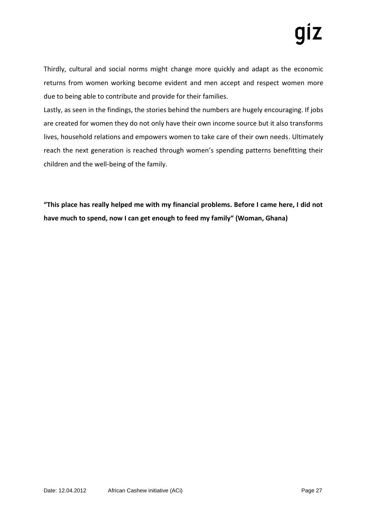Thirdly, cultural and social norms might change more quickly and adapt as the economic returns from women working become evident and men accept and respect women more due to being able to contribute and provide for their families.

Lastly, as seen in the findings, the stories behind the numbers are hugely encouraging. If jobs are created for women they do not only have their own income source but it also transforms lives, household relations and empowers women to take care of their own needs. Ultimately reach the next generation is reached through women's spending patterns benefitting their children and the well-being of the family.

**"This place has really helped me with my financial problems. Before I came here, I did not have much to spend, now I can get enough to feed my family" (Woman, Ghana)**